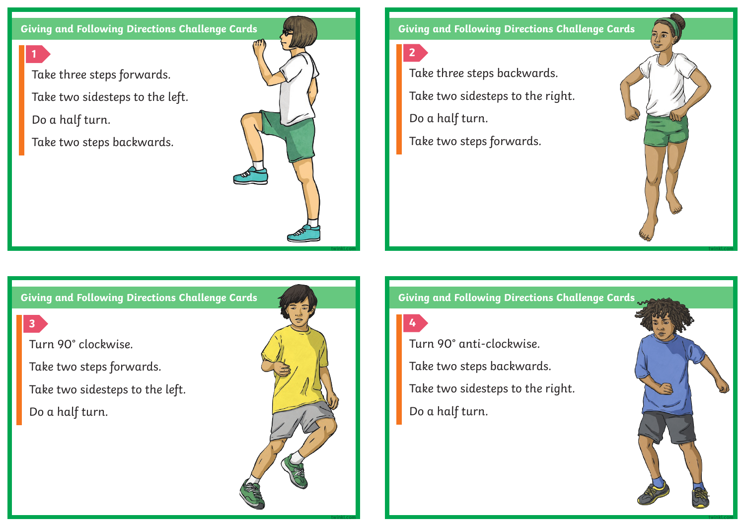**Giving and Following Directions Challenge Cards**

Take three steps forwards. Take two sidesteps to the left. Do a half turn.

Take two steps backwards.



**Giving and Following Directions Challenge Cards**

**2**

Take three steps backwards. Take two sidesteps to the right. Do a half turn.

Take two steps forwards.



**3**

**1**

Turn 90° clockwise.

Take two steps forwards.

Take two sidesteps to the left.

Do a half turn.



**twinkl.com**

**Giving and Following Directions Challenge Cards**

**4**

Turn 90° anti-clockwise. Take two steps backwards. Take two sidesteps to the right. Do a half turn.



**twinkl.com**